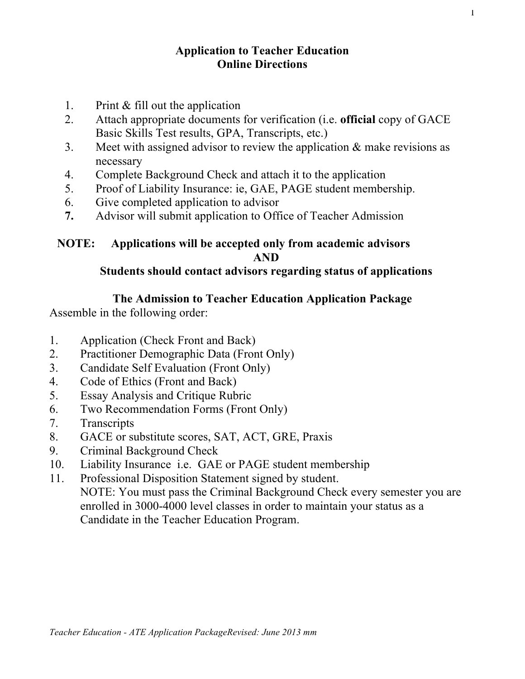# **Application to Teacher Education Online Directions**

- 1. Print & fill out the application
- 2. Attach appropriate documents for verification (i.e. **official** copy of GACE Basic Skills Test results, GPA, Transcripts, etc.)
- 3. Meet with assigned advisor to review the application & make revisions as necessary
- 4. Complete Background Check and attach it to the application
- 5. Proof of Liability Insurance: ie, GAE, PAGE student membership.
- 6. Give completed application to advisor
- **7.** Advisor will submit application to Office of Teacher Admission

# **NOTE: Applications will be accepted only from academic advisors AND**

# **Students should contact advisors regarding status of applications**

# **The Admission to Teacher Education Application Package**

Assemble in the following order:

- 1. Application (Check Front and Back)
- 2. Practitioner Demographic Data (Front Only)
- 3. Candidate Self Evaluation (Front Only)
- 4. Code of Ethics (Front and Back)
- 5. Essay Analysis and Critique Rubric
- 6. Two Recommendation Forms (Front Only)
- 7. Transcripts
- 8. GACE or substitute scores, SAT, ACT, GRE, Praxis
- 9. Criminal Background Check
- 10. Liability Insurance i.e. GAE or PAGE student membership
- 11. Professional Disposition Statement signed by student. NOTE: You must pass the Criminal Background Check every semester you are enrolled in 3000-4000 level classes in order to maintain your status as a Candidate in the Teacher Education Program.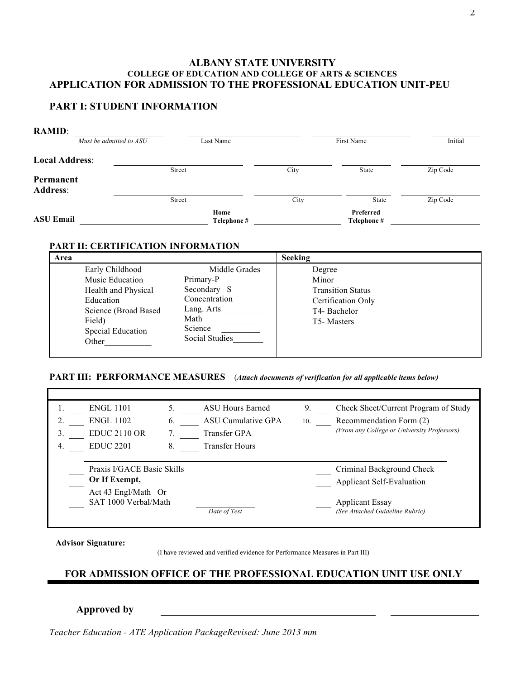### **ALBANY STATE UNIVERSITY COLLEGE OF EDUCATION AND COLLEGE OF ARTS & SCIENCES APPLICATION FOR ADMISSION TO THE PROFESSIONAL EDUCATION UNIT-PEU**

### **PART I: STUDENT INFORMATION**

| <b>RAMID:</b>         |                         |                     |      |                          |          |
|-----------------------|-------------------------|---------------------|------|--------------------------|----------|
|                       | Must be admitted to ASU | Last Name           |      | First Name               | Initial  |
| <b>Local Address:</b> |                         |                     |      |                          |          |
|                       |                         | Street              | City | State                    | Zip Code |
| Permanent             |                         |                     |      |                          |          |
| <b>Address:</b>       |                         |                     |      |                          |          |
|                       |                         | <b>Street</b>       | City | State                    | Zip Code |
| <b>ASU Email</b>      |                         | Home<br>Telephone # |      | Preferred<br>Telephone # |          |

### **PART II: CERTIFICATION INFORMATION**

| Area                                                                                                                                   |                                                                                                                | <b>Seeking</b>                                                                                              |
|----------------------------------------------------------------------------------------------------------------------------------------|----------------------------------------------------------------------------------------------------------------|-------------------------------------------------------------------------------------------------------------|
| Early Childhood<br>Music Education<br>Health and Physical<br>Education<br>Science (Broad Based<br>Field)<br>Special Education<br>Other | Middle Grades<br>Primary-P<br>Secondary -S<br>Concentration<br>Lang. Arts<br>Math<br>Science<br>Social Studies | Degree<br>Minor<br><b>Transition Status</b><br>Certification Only<br>T4-Bachelor<br>T <sub>5</sub> -Masters |

#### **PART III: PERFORMANCE MEASURES** (*Attach documents of verification for all applicable items below)*

|    | <b>ENGL 1101</b>           | 5. | <b>ASU Hours Earned</b> | 9.  | Check Sheet/Current Program of Study        |
|----|----------------------------|----|-------------------------|-----|---------------------------------------------|
|    | <b>ENGL 1102</b>           | 6. | ASU Cumulative GPA      | 10. | Recommendation Form (2)                     |
|    | <b>EDUC 2110 OR</b>        |    | Transfer GPA            |     | (From any College or University Professors) |
| 4. | <b>EDUC 2201</b>           | 8. | Transfer Hours          |     |                                             |
|    |                            |    |                         |     |                                             |
|    | Praxis I/GACE Basic Skills |    |                         |     | Criminal Background Check                   |
|    | Or If Exempt,              |    |                         |     | <b>Applicant Self-Evaluation</b>            |
|    | Act 43 Engl/Math Or        |    |                         |     |                                             |
|    | SAT 1000 Verbal/Math       |    |                         |     | <b>Applicant Essay</b>                      |
|    |                            |    | Date of Test            |     | (See Attached Guideline Rubric)             |
|    |                            |    |                         |     |                                             |

**Advisor Signature:**

(I have reviewed and verified evidence for Performance Measures in Part III)

## **FOR ADMISSION OFFICE OF THE PROFESSIONAL EDUCATION UNIT USE ONLY**

#### **Approved by**

*Teacher Education - ATE Application PackageRevised: June 2013 mm*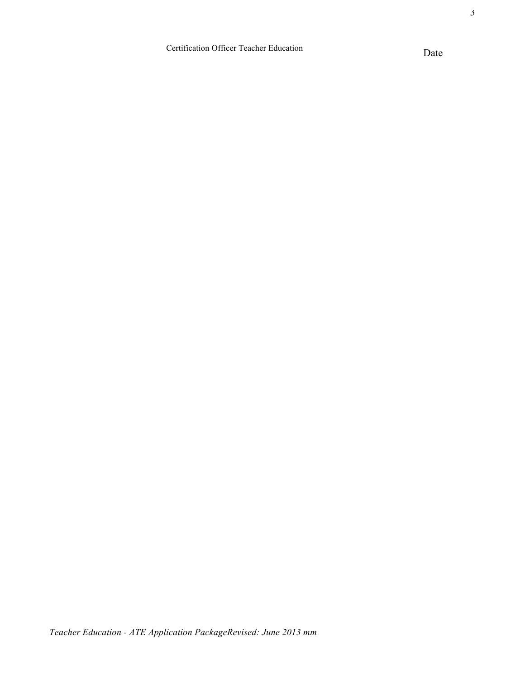3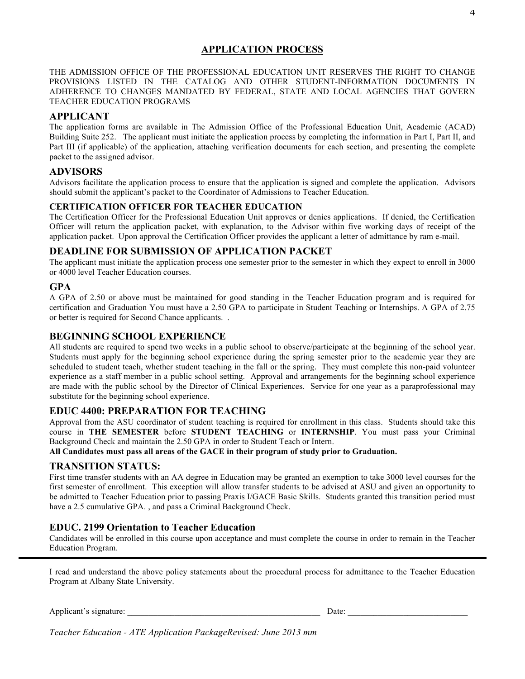## **APPLICATION PROCESS**

THE ADMISSION OFFICE OF THE PROFESSIONAL EDUCATION UNIT RESERVES THE RIGHT TO CHANGE PROVISIONS LISTED IN THE CATALOG AND OTHER STUDENT-INFORMATION DOCUMENTS IN ADHERENCE TO CHANGES MANDATED BY FEDERAL, STATE AND LOCAL AGENCIES THAT GOVERN TEACHER EDUCATION PROGRAMS

### **APPLICANT**

The application forms are available in The Admission Office of the Professional Education Unit, Academic (ACAD) Building Suite 252. The applicant must initiate the application process by completing the information in Part I, Part II, and Part III (if applicable) of the application, attaching verification documents for each section, and presenting the complete packet to the assigned advisor.

### **ADVISORS**

Advisors facilitate the application process to ensure that the application is signed and complete the application. Advisors should submit the applicant's packet to the Coordinator of Admissions to Teacher Education.

#### **CERTIFICATION OFFICER FOR TEACHER EDUCATION**

The Certification Officer for the Professional Education Unit approves or denies applications. If denied, the Certification Officer will return the application packet, with explanation, to the Advisor within five working days of receipt of the application packet. Upon approval the Certification Officer provides the applicant a letter of admittance by ram e-mail.

#### **DEADLINE FOR SUBMISSION OF APPLICATION PACKET**

The applicant must initiate the application process one semester prior to the semester in which they expect to enroll in 3000 or 4000 level Teacher Education courses.

### **GPA**

A GPA of 2.50 or above must be maintained for good standing in the Teacher Education program and is required for certification and Graduation You must have a 2.50 GPA to participate in Student Teaching or Internships. A GPA of 2.75 or better is required for Second Chance applicants. .

### **BEGINNING SCHOOL EXPERIENCE**

All students are required to spend two weeks in a public school to observe/participate at the beginning of the school year. Students must apply for the beginning school experience during the spring semester prior to the academic year they are scheduled to student teach, whether student teaching in the fall or the spring. They must complete this non-paid volunteer experience as a staff member in a public school setting. Approval and arrangements for the beginning school experience are made with the public school by the Director of Clinical Experiences. Service for one year as a paraprofessional may substitute for the beginning school experience.

#### **EDUC 4400: PREPARATION FOR TEACHING**

Approval from the ASU coordinator of student teaching is required for enrollment in this class. Students should take this course in **THE SEMESTER** before **STUDENT TEACHING** or **INTERNSHIP**. You must pass your Criminal Background Check and maintain the 2.50 GPA in order to Student Teach or Intern.

**All Candidates must pass all areas of the GACE in their program of study prior to Graduation.** 

#### **TRANSITION STATUS:**

First time transfer students with an AA degree in Education may be granted an exemption to take 3000 level courses for the first semester of enrollment. This exception will allow transfer students to be advised at ASU and given an opportunity to be admitted to Teacher Education prior to passing Praxis I/GACE Basic Skills. Students granted this transition period must have a 2.5 cumulative GPA. , and pass a Criminal Background Check.

#### **EDUC. 2199 Orientation to Teacher Education**

Candidates will be enrolled in this course upon acceptance and must complete the course in order to remain in the Teacher Education Program.

I read and understand the above policy statements about the procedural process for admittance to the Teacher Education Program at Albany State University.

Applicant's signature: \_\_\_\_\_\_\_\_\_\_\_\_\_\_\_\_\_\_\_\_\_\_\_\_\_\_\_\_\_\_\_\_\_\_\_\_\_\_\_\_\_\_\_\_\_ Date: \_\_\_\_\_\_\_\_\_\_\_\_\_\_\_\_\_\_\_\_\_\_\_\_\_\_\_\_

*Teacher Education - ATE Application PackageRevised: June 2013 mm*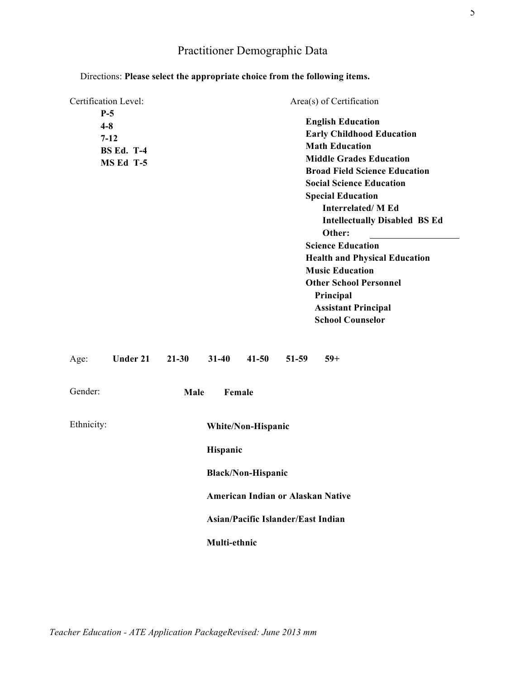# Practitioner Demographic Data

| Certification Level:<br>$P-5$<br>$4 - 8$<br>$7 - 12$<br><b>BS Ed. T-4</b><br>MS Ed T-5 |                 |           |                          |                                                                                                                                          |         | <b>Math Education</b><br>Other:     | Area(s) of Certification<br><b>English Education</b><br><b>Early Childhood Education</b><br><b>Middle Grades Education</b><br><b>Broad Field Science Education</b><br><b>Social Science Education</b><br><b>Special Education</b><br><b>Interrelated/M Ed</b><br><b>Intellectually Disabled BS Ed</b><br><b>Science Education</b> |  |
|----------------------------------------------------------------------------------------|-----------------|-----------|--------------------------|------------------------------------------------------------------------------------------------------------------------------------------|---------|-------------------------------------|-----------------------------------------------------------------------------------------------------------------------------------------------------------------------------------------------------------------------------------------------------------------------------------------------------------------------------------|--|
|                                                                                        |                 |           |                          |                                                                                                                                          |         | <b>Music Education</b><br>Principal | <b>Health and Physical Education</b><br><b>Other School Personnel</b><br><b>Assistant Principal</b><br><b>School Counselor</b>                                                                                                                                                                                                    |  |
| Age:                                                                                   | <b>Under 21</b> | $21 - 30$ | $31 - 40$                | $41 - 50$                                                                                                                                | $51-59$ | $59+$                               |                                                                                                                                                                                                                                                                                                                                   |  |
| Gender:                                                                                |                 | Male      | Female                   |                                                                                                                                          |         |                                     |                                                                                                                                                                                                                                                                                                                                   |  |
| Ethnicity:                                                                             |                 |           | Hispanic<br>Multi-ethnic | White/Non-Hispanic<br><b>Black/Non-Hispanic</b><br><b>American Indian or Alaskan Native</b><br><b>Asian/Pacific Islander/East Indian</b> |         |                                     |                                                                                                                                                                                                                                                                                                                                   |  |

## Directions: **Please select the appropriate choice from the following items.**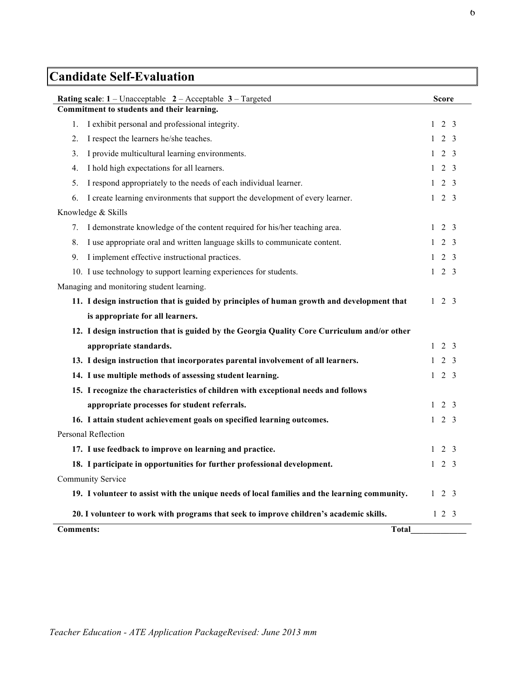# **Candidate Self-Evaluation**

| <b>Rating scale:</b> $1$ – Unacceptable $2$ – Acceptable $3$ – Targeted                       | <b>Score</b>      |  |  |  |  |  |
|-----------------------------------------------------------------------------------------------|-------------------|--|--|--|--|--|
| Commitment to students and their learning.                                                    |                   |  |  |  |  |  |
| I exhibit personal and professional integrity.<br>1.                                          | $1\quad 2\quad 3$ |  |  |  |  |  |
| I respect the learners he/she teaches.<br>2.                                                  | $1 \t2 \t3$       |  |  |  |  |  |
| I provide multicultural learning environments.<br>3.                                          | $1 \t2 \t3$       |  |  |  |  |  |
| I hold high expectations for all learners.<br>4.                                              | $1\quad 2\quad 3$ |  |  |  |  |  |
| I respond appropriately to the needs of each individual learner.<br>5.                        | $1 \t2 \t3$       |  |  |  |  |  |
| I create learning environments that support the development of every learner.<br>6.           | $1\quad 2\quad 3$ |  |  |  |  |  |
| Knowledge & Skills                                                                            |                   |  |  |  |  |  |
| 7. I demonstrate knowledge of the content required for his/her teaching area.                 | $1 \t2 \t3$       |  |  |  |  |  |
| I use appropriate oral and written language skills to communicate content.<br>8.              | $1 \t2 \t3$       |  |  |  |  |  |
| I implement effective instructional practices.<br>9.                                          | $1\quad 2\quad 3$ |  |  |  |  |  |
| 10. I use technology to support learning experiences for students.                            | $1 \t2 \t3$       |  |  |  |  |  |
| Managing and monitoring student learning.                                                     |                   |  |  |  |  |  |
| 11. I design instruction that is guided by principles of human growth and development that    | $1 \t2 \t3$       |  |  |  |  |  |
| is appropriate for all learners.                                                              |                   |  |  |  |  |  |
| 12. I design instruction that is guided by the Georgia Quality Core Curriculum and/or other   |                   |  |  |  |  |  |
| appropriate standards.                                                                        | $1\quad 2\quad 3$ |  |  |  |  |  |
| 13. I design instruction that incorporates parental involvement of all learners.              | $1\quad 2\quad 3$ |  |  |  |  |  |
| 14. I use multiple methods of assessing student learning.                                     | $1 \t2 \t3$       |  |  |  |  |  |
| 15. I recognize the characteristics of children with exceptional needs and follows            |                   |  |  |  |  |  |
| appropriate processes for student referrals.                                                  | $1\quad 2\quad 3$ |  |  |  |  |  |
| 16. I attain student achievement goals on specified learning outcomes.                        | $1\quad 2\quad 3$ |  |  |  |  |  |
| Personal Reflection                                                                           |                   |  |  |  |  |  |
| 17. I use feedback to improve on learning and practice.                                       | $1\quad 2\quad 3$ |  |  |  |  |  |
| 18. I participate in opportunities for further professional development.                      | $1 \t2 \t3$       |  |  |  |  |  |
| <b>Community Service</b>                                                                      |                   |  |  |  |  |  |
| 19. I volunteer to assist with the unique needs of local families and the learning community. | $1 \t2 \t3$       |  |  |  |  |  |
| 20. I volunteer to work with programs that seek to improve children's academic skills.        | $1 \t2 \t3$       |  |  |  |  |  |
| <b>Comments:</b><br><b>Total</b>                                                              |                   |  |  |  |  |  |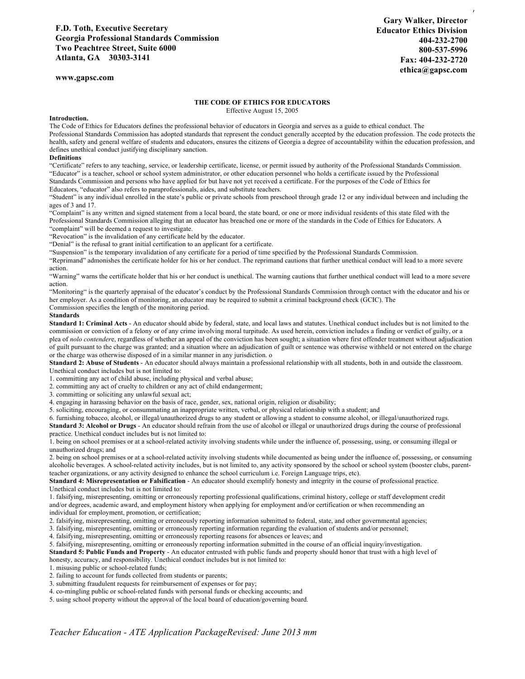7 **Gary Walker, Director Educator Ethics Division 404-232-2700 800-537-5996 Fax: 404-232-2720 ethica@gapsc.com**

**www.gapsc.com**

#### **THE CODE OF ETHICS FOR EDUCATORS** Effective August 15, 2005

#### **Introduction.**

The Code of Ethics for Educators defines the professional behavior of educators in Georgia and serves as a guide to ethical conduct. The Professional Standards Commission has adopted standards that represent the conduct generally accepted by the education profession. The code protects the health, safety and general welfare of students and educators, ensures the citizens of Georgia a degree of accountability within the education profession, and defines unethical conduct justifying disciplinary sanction.

#### **Definitions**

"Certificate" refers to any teaching, service, or leadership certificate, license, or permit issued by authority of the Professional Standards Commission. "Educator" is a teacher, school or school system administrator, or other education personnel who holds a certificate issued by the Professional Standards Commission and persons who have applied for but have not yet received a certificate. For the purposes of the Code of Ethics for

Educators, "educator" also refers to paraprofessionals, aides, and substitute teachers.

"Student" is any individual enrolled in the state's public or private schools from preschool through grade 12 or any individual between and including the ages of 3 and 17.

"Complaint" is any written and signed statement from a local board, the state board, or one or more individual residents of this state filed with the Professional Standards Commission alleging that an educator has breached one or more of the standards in the Code of Ethics for Educators. A "complaint" will be deemed a request to investigate.

"Revocation" is the invalidation of any certificate held by the educator.

"Denial" is the refusal to grant initial certification to an applicant for a certificate.

"Suspension" is the temporary invalidation of any certificate for a period of time specified by the Professional Standards Commission.

"Reprimand" admonishes the certificate holder for his or her conduct. The reprimand cautions that further unethical conduct will lead to a more severe action.

"Warning" warns the certificate holder that his or her conduct is unethical. The warning cautions that further unethical conduct will lead to a more severe action.

"Monitoring" is the quarterly appraisal of the educator's conduct by the Professional Standards Commission through contact with the educator and his or her employer. As a condition of monitoring, an educator may be required to submit a criminal background check (GCIC). The Commission specifies the length of the monitoring period.

#### **Standards**

**Standard 1: Criminal Acts** - An educator should abide by federal, state, and local laws and statutes. Unethical conduct includes but is not limited to the commission or conviction of a felony or of any crime involving moral turpitude. As used herein, conviction includes a finding or verdict of guilty, or a plea of nolo contendere, regardless of whether an appeal of the conviction has been sought; a situation where first offender treatment without adjudication of guilt pursuant to the charge was granted; and a situation where an adjudication of guilt or sentence was otherwise withheld or not entered on the charge or the charge was otherwise disposed of in a similar manner in any jurisdiction. o

**Standard 2: Abuse of Students** - An educator should always maintain a professional relationship with all students, both in and outside the classroom. Unethical conduct includes but is not limited to:

1. committing any act of child abuse, including physical and verbal abuse;

2. committing any act of cruelty to children or any act of child endangerment;

3. committing or soliciting any unlawful sexual act;

4. engaging in harassing behavior on the basis of race, gender, sex, national origin, religion or disability;

5. soliciting, encouraging, or consummating an inappropriate written, verbal, or physical relationship with a student; and

6. furnishing tobacco, alcohol, or illegal/unauthorized drugs to any student or allowing a student to consume alcohol, or illegal/unauthorized rugs.

**Standard 3: Alcohol or Drugs** - An educator should refrain from the use of alcohol or illegal or unauthorized drugs during the course of professional practice. Unethical conduct includes but is not limited to:

1. being on school premises or at a school-related activity involving students while under the influence of, possessing, using, or consuming illegal or unauthorized drugs; and

2. being on school premises or at a school-related activity involving students while documented as being under the influence of, possessing, or consuming alcoholic beverages. A school-related activity includes, but is not limited to, any activity sponsored by the school or school system (booster clubs, parentteacher organizations, or any activity designed to enhance the school curriculum i.e. Foreign Language trips, etc).

**Standard 4: Misrepresentation or Falsification** - An educator should exemplify honesty and integrity in the course of professional practice. Unethical conduct includes but is not limited to:

1. falsifying, misrepresenting, omitting or erroneously reporting professional qualifications, criminal history, college or staff development credit and/or degrees, academic award, and employment history when applying for employment and/or certification or when recommending an individual for employment, promotion, or certification;

2. falsifying, misrepresenting, omitting or erroneously reporting information submitted to federal, state, and other governmental agencies;

3. falsifying, misrepresenting, omitting or erroneously reporting information regarding the evaluation of students and/or personnel;

4. falsifying, misrepresenting, omitting or erroneously reporting reasons for absences or leaves; and

5. falsifying, misrepresenting, omitting or erroneously reporting information submitted in the course of an official inquiry/investigation.

**Standard 5: Public Funds and Property** - An educator entrusted with public funds and property should honor that trust with a high level of honesty, accuracy, and responsibility. Unethical conduct includes but is not limited to:

1. misusing public or school-related funds;

2. failing to account for funds collected from students or parents;

3. submitting fraudulent requests for reimbursement of expenses or for pay;

4. co-mingling public or school-related funds with personal funds or checking accounts; and

5. using school property without the approval of the local board of education/governing board.

*Teacher Education - ATE Application PackageRevised: June 2013 mm*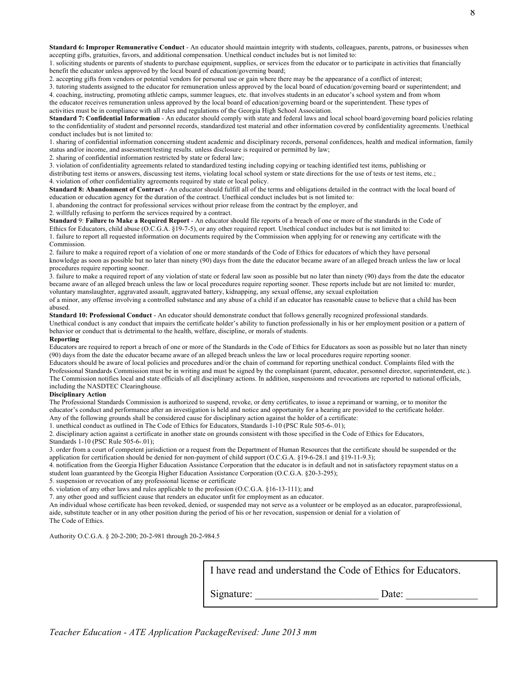Standard 6: Improper Remunerative Conduct - An educator should maintain integrity with students, colleagues, parents, patrons, or businesses when accepting gifts, gratuities, favors, and additional compensation. Unethical conduct includes but is not limited to:

1. soliciting students or parents of students to purchase equipment, supplies, or services from the educator or to participate in activities that financially benefit the educator unless approved by the local board of education/governing board;

2. accepting gifts from vendors or potential vendors for personal use or gain where there may be the appearance of a conflict of interest;

3. tutoring students assigned to the educator for remuneration unless approved by the local board of education/governing board or superintendent; and 4. coaching, instructing, promoting athletic camps, summer leagues, etc. that involves students in an educator's school system and from whom

the educator receives remuneration unless approved by the local board of education/governing board or the superintendent. These types of activities must be in compliance with all rules and regulations of the Georgia High School Association.

**Standard 7: Confidential Information** - An educator should comply with state and federal laws and local school board/governing board policies relating to the confidentiality of student and personnel records, standardized test material and other information covered by confidentiality agreements. Unethical conduct includes but is not limited to:

1. sharing of confidential information concerning student academic and disciplinary records, personal confidences, health and medical information, family status and/or income, and assessment/testing results. unless disclosure is required or permitted by law;

2. sharing of confidential information restricted by state or federal law;

3. violation of confidentiality agreements related to standardized testing including copying or teaching identified test items, publishing or

distributing test items or answers, discussing test items, violating local school system or state directions for the use of tests or test items, etc.; 4. violation of other confidentiality agreements required by state or local policy.

**Standard 8: Abandonment of Contract** - An educator should fulfill all of the terms and obligations detailed in the contract with the local board of education or education agency for the duration of the contract. Unethical conduct includes but is not limited to:

1. abandoning the contract for professional services without prior release from the contract by the employer, and

2. willfully refusing to perform the services required by a contract.

**Standard** 9: **Failure to Make a Required Report** - An educator should file reports of a breach of one or more of the standards in the Code of Ethics for Educators, child abuse (O.C.G.A. §19-7-5), or any other required report. Unethical conduct includes but is not limited to:

1. failure to report all requested information on documents required by the Commission when applying for or renewing any certificate with the Commission.

2. failure to make a required report of a violation of one or more standards of the Code of Ethics for educators of which they have personal knowledge as soon as possible but no later than ninety (90) days from the date the educator became aware of an alleged breach unless the law or local procedures require reporting sooner.

3. failure to make a required report of any violation of state or federal law soon as possible but no later than ninety (90) days from the date the educator became aware of an alleged breach unless the law or local procedures require reporting sooner. These reports include but are not limited to: murder, voluntary manslaughter, aggravated assault, aggravated battery, kidnapping, any sexual offense, any sexual exploitation

of a minor, any offense involving a controlled substance and any abuse of a child if an educator has reasonable cause to believe that a child has been abused.

**Standard 10: Professional Conduct** - An educator should demonstrate conduct that follows generally recognized professional standards.

Unethical conduct is any conduct that impairs the certificate holder's ability to function professionally in his or her employment position or a pattern of behavior or conduct that is detrimental to the health, welfare, discipline, or morals of students.

#### **Reporting**

Educators are required to report a breach of one or more of the Standards in the Code of Ethics for Educators as soon as possible but no later than ninety (90) days from the date the educator became aware of an alleged breach unless the law or local procedures require reporting sooner.

Educators should be aware of local policies and procedures and/or the chain of command for reporting unethical conduct. Complaints filed with the Professional Standards Commission must be in writing and must be signed by the complainant (parent, educator, personnel director, superintendent, etc.). The Commission notifies local and state officials of all disciplinary actions. In addition, suspensions and revocations are reported to national officials, including the NASDTEC Clearinghouse.

#### **Disciplinary Action**

The Professional Standards Commission is authorized to suspend, revoke, or deny certificates, to issue a reprimand or warning, or to monitor the educator's conduct and performance after an investigation is held and notice and opportunity for a hearing are provided to the certificate holder. Any of the following grounds shall be considered cause for disciplinary action against the holder of a certificate:

1. unethical conduct as outlined in The Code of Ethics for Educators, Standards 1-10 (PSC Rule 505-6-.01);

2. disciplinary action against a certificate in another state on grounds consistent with those specified in the Code of Ethics for Educators, Standards 1-10 (PSC Rule 505-6-.01);

3. order from a court of competent jurisdiction or a request from the Department of Human Resources that the certificate should be suspended or the application for certification should be denied for non-payment of child support (O.C.G.A. §19-6-28.1 and §19-11-9.3);

4. notification from the Georgia Higher Education Assistance Corporation that the educator is in default and not in satisfactory repayment status on a student loan guaranteed by the Georgia Higher Education Assistance Corporation (O.C.G.A. §20-3-295);

5. suspension or revocation of any professional license or certificate

6. violation of any other laws and rules applicable to the profession (O.C.G.A. §16-13-111); and

7. any other good and sufficient cause that renders an educator unfit for employment as an educator.

An individual whose certificate has been revoked, denied, or suspended may not serve as a volunteer or be employed as an educator, paraprofessional, aide, substitute teacher or in any other position during the period of his or her revocation, suspension or denial for a violation of The Code of Ethics.

Authority O.C.G.A. § 20-2-200; 20-2-981 through 20-2-984.5

I have read and understand the Code of Ethics for Educators.

Signature: Date: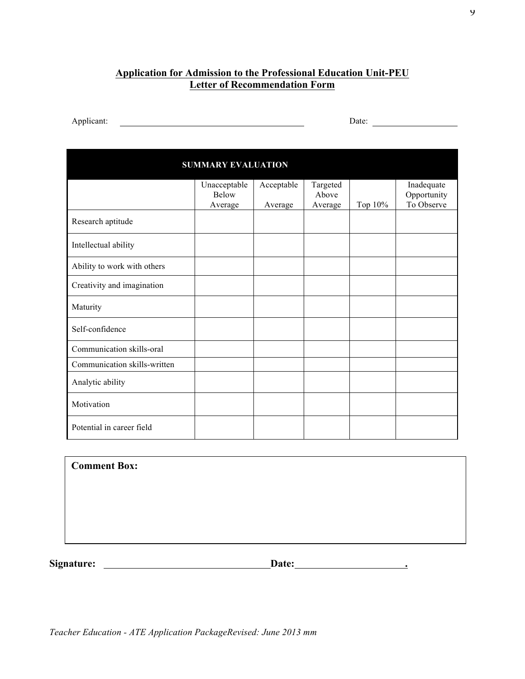## **Application for Admission to the Professional Education Unit-PEU Letter of Recommendation Form**

Applicant: Date:

| <b>SUMMARY EVALUATION</b>    |                                         |                       |                              |         |                                         |  |  |  |
|------------------------------|-----------------------------------------|-----------------------|------------------------------|---------|-----------------------------------------|--|--|--|
|                              | Unacceptable<br><b>Below</b><br>Average | Acceptable<br>Average | Targeted<br>Above<br>Average | Top 10% | Inadequate<br>Opportunity<br>To Observe |  |  |  |
| Research aptitude            |                                         |                       |                              |         |                                         |  |  |  |
| Intellectual ability         |                                         |                       |                              |         |                                         |  |  |  |
| Ability to work with others  |                                         |                       |                              |         |                                         |  |  |  |
| Creativity and imagination   |                                         |                       |                              |         |                                         |  |  |  |
| Maturity                     |                                         |                       |                              |         |                                         |  |  |  |
| Self-confidence              |                                         |                       |                              |         |                                         |  |  |  |
| Communication skills-oral    |                                         |                       |                              |         |                                         |  |  |  |
| Communication skills-written |                                         |                       |                              |         |                                         |  |  |  |
| Analytic ability             |                                         |                       |                              |         |                                         |  |  |  |
| Motivation                   |                                         |                       |                              |         |                                         |  |  |  |
| Potential in career field    |                                         |                       |                              |         |                                         |  |  |  |

**Comment Box:**

**Signature: Date: .**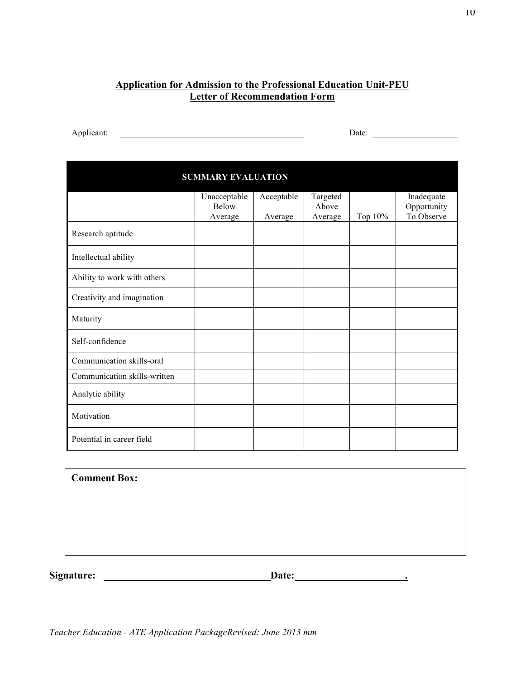# **Application for Admission to the Professional Education Unit-PEU Letter of Recommendation Form**

Applicant: Date:

| <b>SUMMARY EVALUATION</b>    |              |         |         |         |             |
|------------------------------|--------------|---------|---------|---------|-------------|
|                              | Inadequate   |         |         |         |             |
|                              | <b>Below</b> |         | Above   |         | Opportunity |
|                              | Average      | Average | Average | Top 10% | To Observe  |
| Research aptitude            |              |         |         |         |             |
| Intellectual ability         |              |         |         |         |             |
| Ability to work with others  |              |         |         |         |             |
| Creativity and imagination   |              |         |         |         |             |
| Maturity                     |              |         |         |         |             |
| Self-confidence              |              |         |         |         |             |
| Communication skills-oral    |              |         |         |         |             |
| Communication skills-written |              |         |         |         |             |
| Analytic ability             |              |         |         |         |             |
| Motivation                   |              |         |         |         |             |
| Potential in career field    |              |         |         |         |             |

**Comment Box:**

**Signature:** Date: **Date: Date: Date: Date: Date: Date: Date: Date: Date: Date: Date: Date: Date: Date: Date: Date: Date: Date: Date: Date: Date: Date: Date: Date: Date: Da** 

<u> 1980 - Johann Barbara, martxa alemaniar a</u>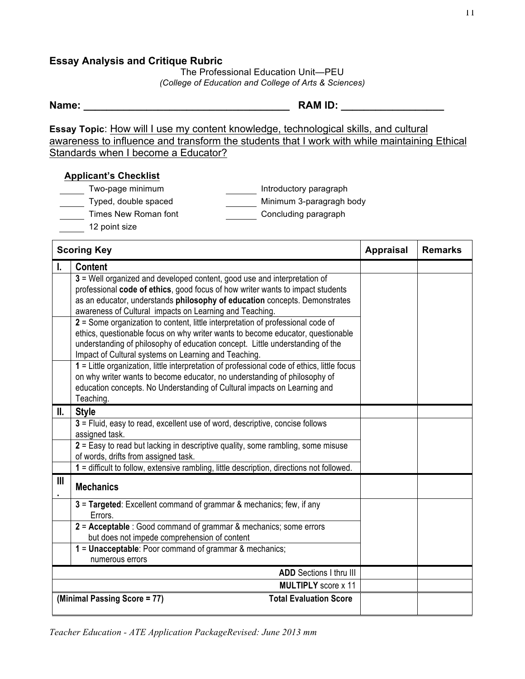## **Essay Analysis and Critique Rubric**

The Professional Education Unit—PEU *(College of Education and College of Arts & Sciences)*

| Name: | <b>RAM ID:</b> |  |
|-------|----------------|--|
|       |                |  |
|       |                |  |

**Essay Topic**: How will I use my content knowledge, technological skills, and cultural awareness to influence and transform the students that I work with while maintaining Ethical Standards when I become a Educator?

## **Applicant's Checklist**

- Two-page minimum and introductory paragraph
	- Typed, double spaced Minimum 3-paragragh body
- Times New Roman font The Concluding paragraph
	- 12 point size

|                | <b>Scoring Key</b>                                                                                                                                                                                                                                                                                          | <b>Appraisal</b> | <b>Remarks</b> |
|----------------|-------------------------------------------------------------------------------------------------------------------------------------------------------------------------------------------------------------------------------------------------------------------------------------------------------------|------------------|----------------|
|                | <b>Content</b>                                                                                                                                                                                                                                                                                              |                  |                |
|                | 3 = Well organized and developed content, good use and interpretation of<br>professional code of ethics, good focus of how writer wants to impact students<br>as an educator, understands philosophy of education concepts. Demonstrates<br>awareness of Cultural impacts on Learning and Teaching.         |                  |                |
|                | 2 = Some organization to content, little interpretation of professional code of<br>ethics, questionable focus on why writer wants to become educator, questionable<br>understanding of philosophy of education concept. Little understanding of the<br>Impact of Cultural systems on Learning and Teaching. |                  |                |
|                | 1 = Little organization, little interpretation of professional code of ethics, little focus<br>on why writer wants to become educator, no understanding of philosophy of<br>education concepts. No Understanding of Cultural impacts on Learning and<br>Teaching.                                           |                  |                |
| II.            | <b>Style</b>                                                                                                                                                                                                                                                                                                |                  |                |
|                | 3 = Fluid, easy to read, excellent use of word, descriptive, concise follows<br>assigned task.                                                                                                                                                                                                              |                  |                |
|                | 2 = Easy to read but lacking in descriptive quality, some rambling, some misuse<br>of words, drifts from assigned task.                                                                                                                                                                                     |                  |                |
|                | 1 = difficult to follow, extensive rambling, little description, directions not followed.                                                                                                                                                                                                                   |                  |                |
| $\mathbf{III}$ | <b>Mechanics</b>                                                                                                                                                                                                                                                                                            |                  |                |
|                | 3 = Targeted: Excellent command of grammar & mechanics; few, if any<br>Errors.                                                                                                                                                                                                                              |                  |                |
|                | 2 = Acceptable : Good command of grammar & mechanics; some errors<br>but does not impede comprehension of content                                                                                                                                                                                           |                  |                |
|                | 1 = Unacceptable: Poor command of grammar & mechanics;<br>numerous errors                                                                                                                                                                                                                                   |                  |                |
|                | <b>ADD</b> Sections I thru III                                                                                                                                                                                                                                                                              |                  |                |
|                | <b>MULTIPLY</b> score x 11                                                                                                                                                                                                                                                                                  |                  |                |
|                | (Minimal Passing Score = 77)<br><b>Total Evaluation Score</b>                                                                                                                                                                                                                                               |                  |                |